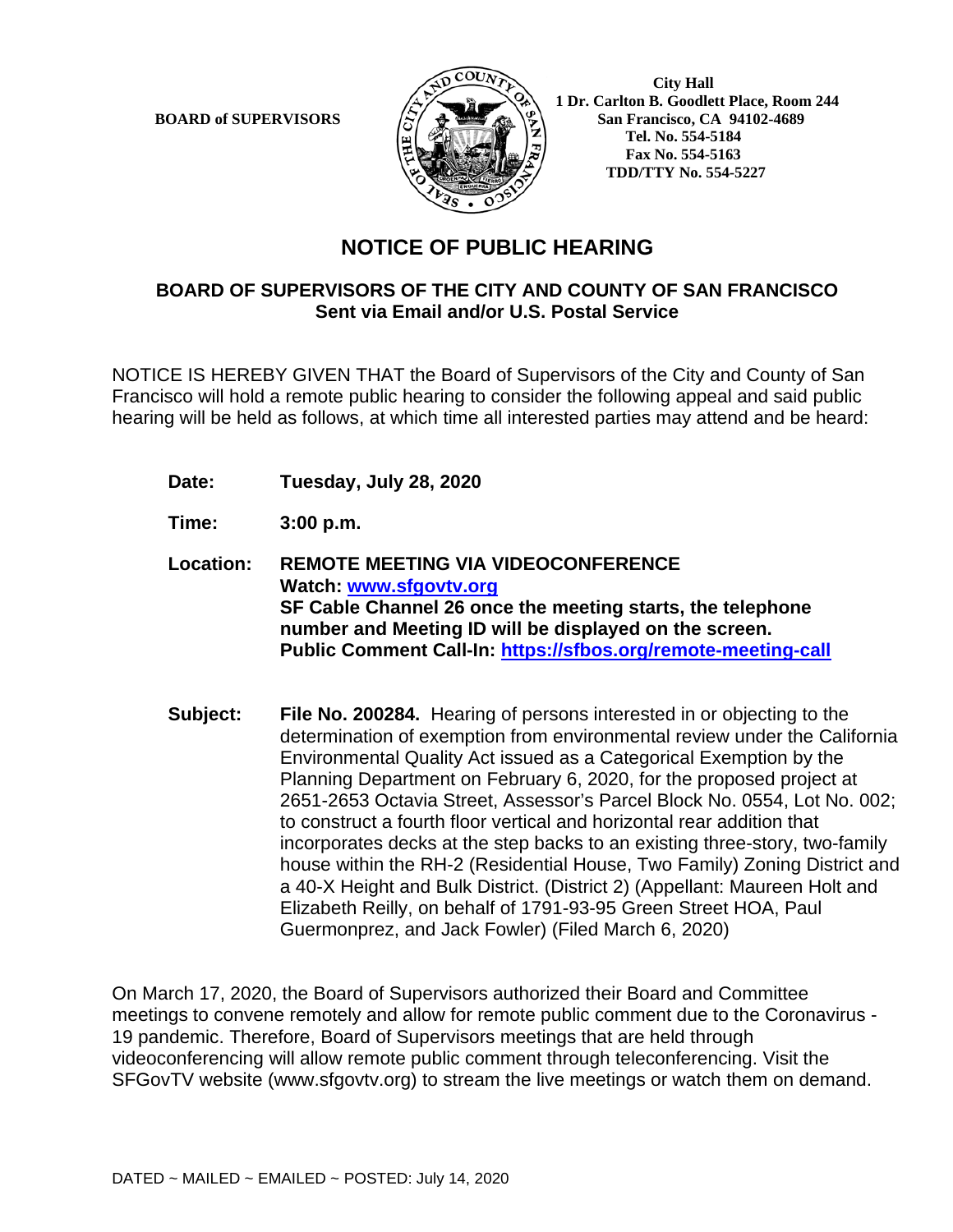

**BOARD of SUPERVISORS**  $\left(\frac{1}{2}\right)$  **1 Dr.** Carlton B. Goodlett Place, Room 244 **San Francisco, CA 94102-4689 Tel. No. 554-5184 Fax No. 554-5163 TDD/TTY No. 554-5227**

## **NOTICE OF PUBLIC HEARING**

## **BOARD OF SUPERVISORS OF THE CITY AND COUNTY OF SAN FRANCISCO Sent via Email and/or U.S. Postal Service**

NOTICE IS HEREBY GIVEN THAT the Board of Supervisors of the City and County of San Francisco will hold a remote public hearing to consider the following appeal and said public hearing will be held as follows, at which time all interested parties may attend and be heard:

- **Date: Tuesday, July 28, 2020**
- **Time: 3:00 p.m.**
- **Location: REMOTE MEETING VIA VIDEOCONFERENCE Watch: www.sfgovtv.org SF Cable Channel 26 once the meeting starts, the telephone number and Meeting ID will be displayed on the screen. Public Comment Call-In: https://sfbos.org/remote-meeting-call**
- **Subject: File No. 200284.** Hearing of persons interested in or objecting to the determination of exemption from environmental review under the California Environmental Quality Act issued as a Categorical Exemption by the Planning Department on February 6, 2020, for the proposed project at 2651-2653 Octavia Street, Assessor's Parcel Block No. 0554, Lot No. 002; to construct a fourth floor vertical and horizontal rear addition that incorporates decks at the step backs to an existing three-story, two-family house within the RH-2 (Residential House, Two Family) Zoning District and a 40-X Height and Bulk District. (District 2) (Appellant: Maureen Holt and Elizabeth Reilly, on behalf of 1791-93-95 Green Street HOA, Paul Guermonprez, and Jack Fowler) (Filed March 6, 2020)

On March 17, 2020, the Board of Supervisors authorized their Board and Committee meetings to convene remotely and allow for remote public comment due to the Coronavirus - 19 pandemic. Therefore, Board of Supervisors meetings that are held through videoconferencing will allow remote public comment through teleconferencing. Visit the SFGovTV website (www.sfgovtv.org) to stream the live meetings or watch them on demand.